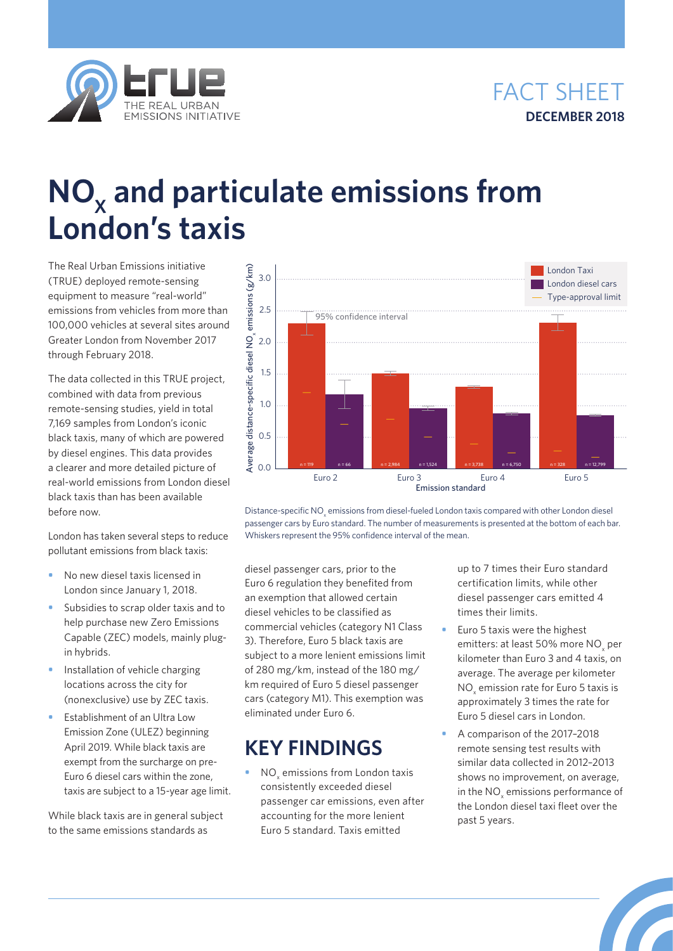



## **NO<sub>x</sub>** and particulate emissions from **London's taxis**

The Real Urban Emissions initiative (TRUE) deployed remote-sensing equipment to measure "real-world" emissions from vehicles from more than 100,000 vehicles at several sites around Greater London from November 2017 through February 2018.

The data collected in this TRUE project, combined with data from previous remote-sensing studies, yield in total 7,169 samples from London's iconic black taxis, many of which are powered by diesel engines. This data provides a clearer and more detailed picture of real-world emissions from London diesel black taxis than has been available before now.

London has taken several steps to reduce pollutant emissions from black taxis:

- **•** No new diesel taxis licensed in London since January 1, 2018.
- **•** Subsidies to scrap older taxis and to help purchase new Zero Emissions Capable (ZEC) models, mainly plugin hybrids.
- **•** Installation of vehicle charging locations across the city for (nonexclusive) use by ZEC taxis.
- **•** Establishment of an Ultra Low Emission Zone (ULEZ) beginning April 2019. While black taxis are exempt from the surcharge on pre-Euro 6 diesel cars within the zone, taxis are subject to a 15-year age limit.

While black taxis are in general subject to the same emissions standards as



Distance-specific NO<sub>x</sub> emissions from diesel-fueled London taxis compared with other London diesel passenger cars by Euro standard. The number of measurements is presented at the bottom of each bar. Whiskers represent the 95% confidence interval of the mean.

diesel passenger cars, prior to the Euro 6 regulation they benefited from an exemption that allowed certain diesel vehicles to be classified as commercial vehicles (category N1 Class 3). Therefore, Euro 5 black taxis are subject to a more lenient emissions limit of 280 mg/km, instead of the 180 mg/ km required of Euro 5 diesel passenger cars (category M1). This exemption was eliminated under Euro 6.

## **KEY FINDINGS**

• NO<sub>x</sub> emissions from London taxis consistently exceeded diesel passenger car emissions, even after accounting for the more lenient Euro 5 standard. Taxis emitted

up to 7 times their Euro standard certification limits, while other diesel passenger cars emitted 4 times their limits.

- **•** Euro 5 taxis were the highest emitters: at least 50% more  $\rm NO_x$  per kilometer than Euro 3 and 4 taxis, on average. The average per kilometer  $NO<sub>x</sub>$  emission rate for Euro 5 taxis is approximately 3 times the rate for Euro 5 diesel cars in London.
- **•** A comparison of the 2017–2018 remote sensing test results with similar data collected in 2012–2013 shows no improvement, on average, in the  $NO<sub>x</sub>$  emissions performance of the London diesel taxi fleet over the past 5 years.